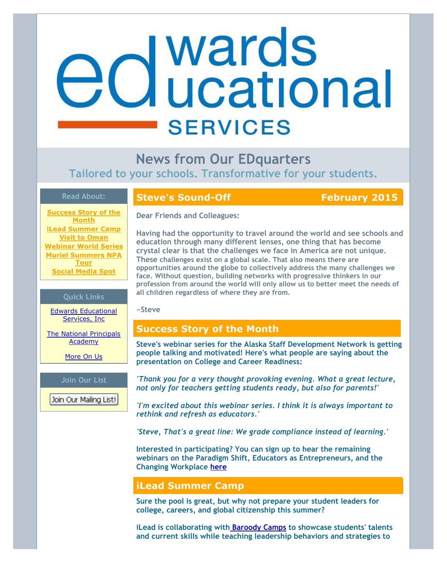# **d** wards<br>**d** ucational **SERVICES**

**News from Our EDquarters Tailored to your schools. Transformative for your students.**

## **Read About:**

**[Success Story of the](https://ui.constantcontact.com/visualeditor/visual_editor_preview.jsp?agent.uid=1120090423033&format=html&printFrame=true#LETTER.BLOCK10) Month [iLead Summer Camp](https://ui.constantcontact.com/visualeditor/visual_editor_preview.jsp?agent.uid=1120090423033&format=html&printFrame=true#LETTER.BLOCK27) [Visit to Oman](https://ui.constantcontact.com/visualeditor/visual_editor_preview.jsp?agent.uid=1120090423033&format=html&printFrame=true#LETTER.BLOCK21) [Webinar World Series](https://ui.constantcontact.com/visualeditor/visual_editor_preview.jsp?agent.uid=1120090423033&format=html&printFrame=true#LETTER.BLOCK24) [Muriel Summers NPA](https://ui.constantcontact.com/visualeditor/visual_editor_preview.jsp?agent.uid=1120090423033&format=html&printFrame=true#LETTER.BLOCK26) Tour [Social Media Spot](https://ui.constantcontact.com/visualeditor/visual_editor_preview.jsp?agent.uid=1120090423033&format=html&printFrame=true#LETTER.BLOCK22)**

#### **Quick Links**

[Edwards Educational](http://r20.rs6.net/tn.jsp?e=001lh8H1lvicuYaxm3AM0J2H5mKlhgzpW-xQC4Q10QWbwqDIM8Op1yFVZ79HqDSFhgu4yGqb7D6GiQZI27-Q86lupug-YXsJO3MQ3-BvoqI3vpNJ9tCAz12ow==) Services, Inc

[The National Principals](http://r20.rs6.net/tn.jsp?e=001lh8H1lvicuYaxm3AM0J2H5mKlhgzpW-xQC4Q10QWbwqDIM8Op1yFVZ79HqDSFhgu4yGqb7D6GiT4bnZieQoiyb89jxpSkDGS-yg5pklRMFDuD6p41ae1mR2I8n5_9OQw) Academy

[More On Us](http://r20.rs6.net/tn.jsp?e=001lh8H1lvicuYaxm3AM0J2H5mKlhgzpW-xQC4Q10QWbwqDIM8Op1yFVZ79HqDSFhgu4yGqb7D6GiQZI27-Q86lupug-YXsJO3MQ3-BvoqI3vp2XPkE0xGNZQ9QXV3f68IU)

#### **Join Our List**

Join Our Mailing List!

## **Steve's Sound-Off February 2015**

**Dear Friends and Colleagues:**

**Having had the opportunity to travel around the world and see schools and education through many different lenses, one thing that has become crystal clear is that the challenges we face in America are not unique. These challenges exist on a global scale. That also means there are opportunities around the globe to collectively address the many challenges we face. Without question, building networks with progressive thinkers in our profession from around the world will only allow us to better meet the needs of all children regardless of where they are from.**

**~Steve** 

## **Success Story of the Month**

**Steve's webinar series for the Alaska Staff Development Network is getting people talking and motivated! Here's what people are saying about the presentation on College and Career Readiness:**

*'Thank you for a very thought provoking evening. What a great lecture, not only for teachers getting students ready, but also for parents!'*

*'I'm excited about this webinar series. I think it is always important to rethink and refresh as educators.'* 

*'Steve, That's a great line: We grade compliance instead of learning.'*

**Interested in participating? You can sign up to hear the remaining webinars on the Paradigm Shift, Educators as Entrepreneurs, and the Changing Workplace [here](http://r20.rs6.net/tn.jsp?e=001lh8H1lvicuYaxm3AM0J2H5mKlhgzpW-xQC4Q10QWbwqDIM8Op1yFVZ79HqDSFhguPGznx9-W25tGcI59chTjv7fl5kfhjkFedTE2jASXFtU60nQzWaVU4BhRU_V-6obKUwKySiD_5AUJHaOLmH9ZBcuRzLxNYJIZuoF-U0H2pVgdh_cDWk8Fpg==)**

# **iLead Summer Camp**

**Sure the pool is great, but why not prepare your student leaders for college, careers, and global citizenship this summer?**

**iLead is collaborating wit[h Baroody Camps](http://r20.rs6.net/tn.jsp?e=001lh8H1lvicuYaxm3AM0J2H5mKlhgzpW-xQC4Q10QWbwqDIM8Op1yFVZ79HqDSFhgu4yGqb7D6GiSGcerXG8gUYiHY7AP8RhAns4gMMA2Zt4k=) to showcase students' talents and current skills while teaching leadership behaviors and strategies to**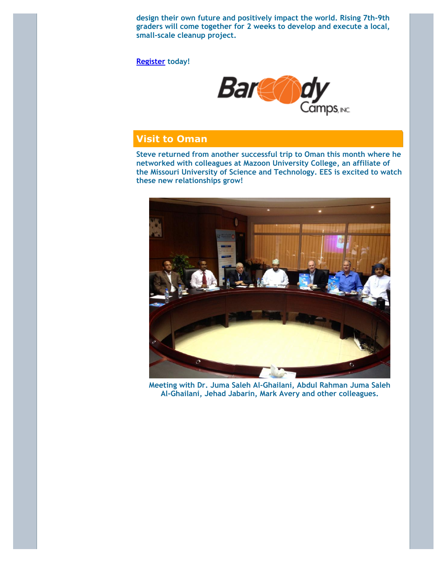**design their own future and positively impact the world. Rising 7th-9th graders will come together for 2 weeks to develop and execute a local, small-scale cleanup project.**

**[Register](http://r20.rs6.net/tn.jsp?e=001lh8H1lvicuYaxm3AM0J2H5mKlhgzpW-xQC4Q10QWbwqDIM8Op1yFVZ79HqDSFhgu4yGqb7D6GiSGcerXG8gUYiHY7AP8RhAnt8UvpEknl-tOkciOHy9hFhsa0yE-jcSw_fDzm6SHrG9Dxq0y3xxZt39bU97q5i48BNlDpXDg_2SiF_nuv9fnGiZLrwD_hKHA5lnNgSPrRl4=) today!** 



# **Visit to Oman**

**Steve returned from another successful trip to Oman this month where he networked with colleagues at Mazoon University College, an affiliate of the Missouri University of Science and Technology. EES is excited to watch these new relationships grow!**



**Meeting with Dr. Juma Saleh Al-Ghailani, Abdul Rahman Juma Saleh Al-Ghailani, Jehad Jabarin, Mark Avery and other colleagues.**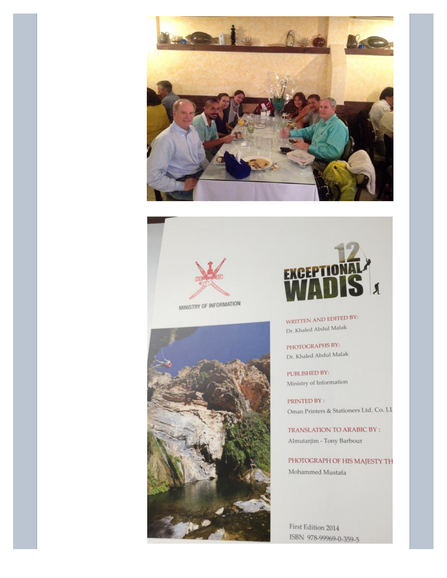



MINISTRY OF INFORMATION





WRITTEN AND EDITED BY: Dr. Khaled Abdul Malak

PHOTOGRAPHS BY: Dr. Khaled Abdul Malak

PUBLISHED BY: Ministry of Information

PRINTED BY: Oman Printers & Stationers Ltd. Co. LI

TRANSLATION TO ARABIC BY : Almutarjim - Tony Barbour

PHOTOGRAPH OF HIS MAJESTY TH Mohammed Mustafa

First Edition 2014 ISBN 978-99969-0-359-5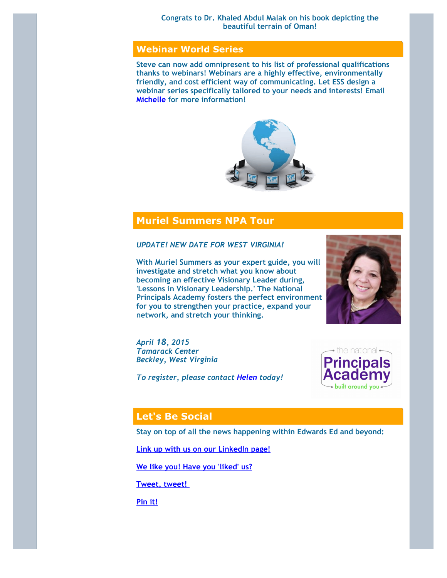#### **Congrats to Dr. Khaled Abdul Malak on his book depicting the beautiful terrain of Oman!**

# **Webinar World Series**

**Steve can now add omnipresent to his list of professional qualifications thanks to webinars! Webinars are a highly effective, environmentally friendly, and cost efficient way of communicating. Let ESS design a webinar series specifically tailored to your needs and interests! Email [Michelle](mailto:michelle@edwardsedservices.com) for more information!** 



# **Muriel Summers NPA Tour**

*UPDATE! NEW DATE FOR WEST VIRGINIA!*

**With Muriel Summers as your expert guide, you will investigate and stretch what you know about becoming an effective Visionary Leader during, 'Lessons in Visionary Leadership.' The National Principals Academy fosters the perfect environment for you to strengthen your practice, expand your network, and stretch your thinking.**

*April 18, 2015 Tamarack Center Beckley, West Virginia*

*To register, please contact [Helen](mailto:helen@nationalprincipalsacademy.com) today!*





# **Let's Be Social**

**Stay on top of all the news happening within Edwards Ed and beyond:**

**[Link up with us on our LinkedIn page!](http://r20.rs6.net/tn.jsp?e=001lh8H1lvicuYaxm3AM0J2H5mKlhgzpW-xQC4Q10QWbwqDIM8Op1yFVZ79HqDSFhgu4yGqb7D6GiQ0Z8QkvoxFpoaC4HqHjGlf6yUEBBJ9V9UPOpIgGlPK-2kIhJ9Zu3eNqyeW9VihghptgRpOBy3T6u8z9DXJwAu5)**

**[We like you! Have you 'liked' us?](http://r20.rs6.net/tn.jsp?e=001lh8H1lvicuYaxm3AM0J2H5mKlhgzpW-xQC4Q10QWbwqDIM8Op1yFVZ79HqDSFhguPGznx9-W25u0cBZRlRYz4oL4wIBUR6qm0BVQzEsgdQXbwB7qcnCnb2j5_aV7HIN1)**

**[Tweet, tweet!](http://r20.rs6.net/tn.jsp?e=001lh8H1lvicuYaxm3AM0J2H5mKlhgzpW-xQC4Q10QWbwqDIM8Op1yFVZ79HqDSFhgu4yGqb7D6GiTO9L6sHO3wy7_u3XK-eWxCoqRIbYNusL9KIunoPCpTV6iQjUG4p3Ue)** 

**[Pin it!](http://r20.rs6.net/tn.jsp?e=001lh8H1lvicuYaxm3AM0J2H5mKlhgzpW-xQC4Q10QWbwqDIM8Op1yFVZ79HqDSFhgu4yGqb7D6GiTh4tD32-i250Sr0rTow6MKyPl9w0JtzBG7cbIrhn2clqFRcl2IiftO)**